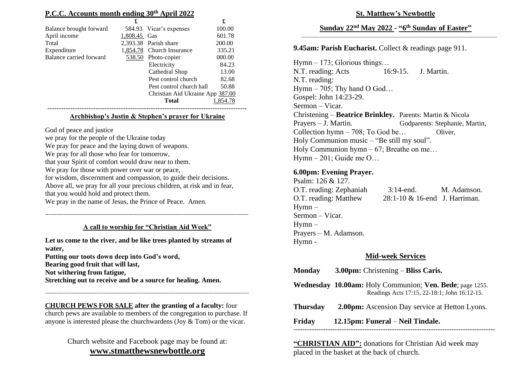# **P.C.C. Accounts month ending 30 th April 2022**

|                         | £            |                                  | £        |
|-------------------------|--------------|----------------------------------|----------|
| Balance brought forward |              | 584.93 Vicar's expenses          | 100.00   |
| April income            | 1,808.45 Gas |                                  | 601.78   |
| Total                   |              | 2,393.38 Parish share            | 200.00   |
| Expenditure             | 1,854.78     | <b>Church Insurance</b>          | 335.21   |
| Balance carried forward | 538.50       | Photo-copier                     | 000.00   |
|                         |              | Electricity                      | 84.23    |
|                         |              | Cathedral Shop                   | 13.00    |
|                         |              | Pest control church              | 82.68    |
|                         |              | Pest control church hall         | 50.88    |
|                         |              | Christian Aid Ukraine App 387.00 |          |
|                         |              | <b>Total</b>                     | 1,854.78 |
|                         |              |                                  |          |

#### **Archbishop's Justin & Stephen's prayer for Ukraine**

God of peace and justice

we pray for the people of the Ukraine today We pray for peace and the laying down of weapons. We pray for all those who fear for tomorrow, that your Spirit of comfort would draw near to them. We pray for those with power over war or peace, for wisdom, discernment and compassion, to guide their decisions. Above all, we pray for all your precious children, at risk and in fear, that you would hold and protect them.

We pray in the name of Jesus, the Prince of Peace. Amen.

#### **A call to worship for "Christian Aid Week"**

--------------------------------------------------------------------------------------------------------------------------

**Let us come to the river, and be like trees planted by streams of water, Putting our toots down deep into God's word, Bearing good fruit that will last, Not withering from fatigue, Stretching out to receive and be a source for healing. Amen.**

**CHURCH PEWS FOR SALE after the granting of a faculty:** four church pews are available to members of the congregation to purchase. If anyone is interested please the churchwardens (Joy & Tom) or the vicar.

--------------------------------------------------------------------------------------------------------------------------

# Church website and Facebook page may be found at: **[www.stmatthewsnewbottle.org](http://www.stmatthewsnewbottle.org/)**

**St. Matthew's Newbottle**

#### **Sunday 22nd May 2022 - "6 th Sunday of Easter"**  $\overline{\phantom{a}}$  ,  $\overline{\phantom{a}}$  ,  $\overline{\phantom{a}}$  ,  $\overline{\phantom{a}}$  ,  $\overline{\phantom{a}}$  ,  $\overline{\phantom{a}}$  ,  $\overline{\phantom{a}}$  ,  $\overline{\phantom{a}}$  ,  $\overline{\phantom{a}}$  ,  $\overline{\phantom{a}}$  ,  $\overline{\phantom{a}}$  ,  $\overline{\phantom{a}}$  ,  $\overline{\phantom{a}}$  ,  $\overline{\phantom{a}}$  ,  $\overline{\phantom{a}}$  ,  $\overline{\phantom{a}}$

# **9.45am: Parish Eucharist.** Collect & readings page 911.

Hymn – 173; Glorious things… N.T. reading: Acts 16:9-15. J. Martin. N.T. reading: Hymn – 705; Thy hand O God... Gospel: John 14:23-29. Sermon – Vicar. Christening – **Beatrice Brinkley.** Parents: Martin & Nicola Prayers – J. Martin. Godparents: Stephanie, Martin, Collection hymn – 708; To God be… Oliver, Holy Communion music – "Be still my soul". Holy Communion hymn – 67; Breathe on me... Hymn – 201; Guide me O…

#### **6.00pm: Evening Prayer.**

Psalm: 126 & 127. O.T. reading: Zephaniah 3:14-end. M. Adamson. O.T. reading: Matthew 28:1-10 & 16-end J. Harriman. Hymn – Sermon – Vicar. Hymn – Prayers – M. Adamson. Hymn -

## **Mid-week Services**

| <b>Monday</b>   | $3.00 \text{pm}$ : Christening – Bliss Caris.                                                                           |
|-----------------|-------------------------------------------------------------------------------------------------------------------------|
|                 | <b>Wednesday 10.00am:</b> Holy Communion; <b>Ven. Bede</b> ; page 1255.<br>Readings Acts 17:15, 22-18:1; John 16:12-15. |
| <b>Thursday</b> | <b>2.00pm:</b> Ascension Day service at Hetton Lyons.                                                                   |
| Friday          | 12.15pm: Funeral – Neil Tindale.                                                                                        |
|                 |                                                                                                                         |

**"CHRISTIAN AID":** donations for Christian Aid week may placed in the basket at the back of church.